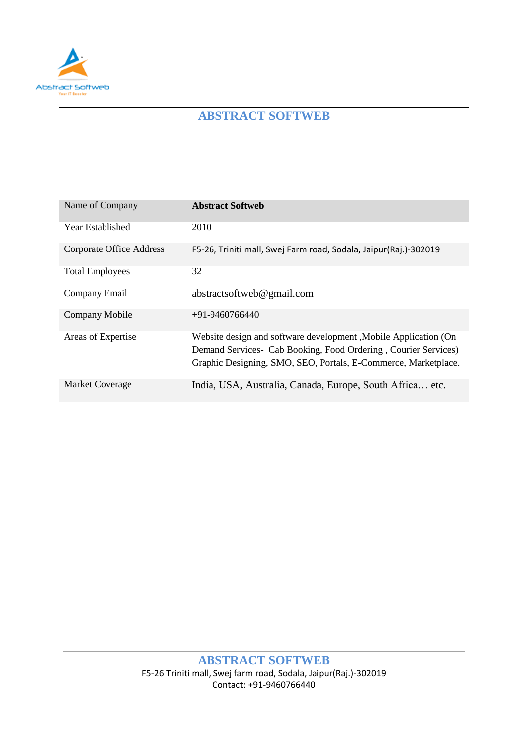

# **ABSTRACT SOFTWEB**

| Name of Company                 | <b>Abstract Softweb</b>                                                                                                                                                                              |
|---------------------------------|------------------------------------------------------------------------------------------------------------------------------------------------------------------------------------------------------|
| Year Established                | 2010                                                                                                                                                                                                 |
| <b>Corporate Office Address</b> | F5-26, Triniti mall, Swej Farm road, Sodala, Jaipur(Raj.)-302019                                                                                                                                     |
| <b>Total Employees</b>          | 32                                                                                                                                                                                                   |
| Company Email                   | abstractsoftweb@gmail.com                                                                                                                                                                            |
| Company Mobile                  | $+91 - 9460766440$                                                                                                                                                                                   |
| Areas of Expertise              | Website design and software development, Mobile Application (On<br>Demand Services - Cab Booking, Food Ordering, Courier Services)<br>Graphic Designing, SMO, SEO, Portals, E-Commerce, Marketplace. |
| <b>Market Coverage</b>          | India, USA, Australia, Canada, Europe, South Africa etc.                                                                                                                                             |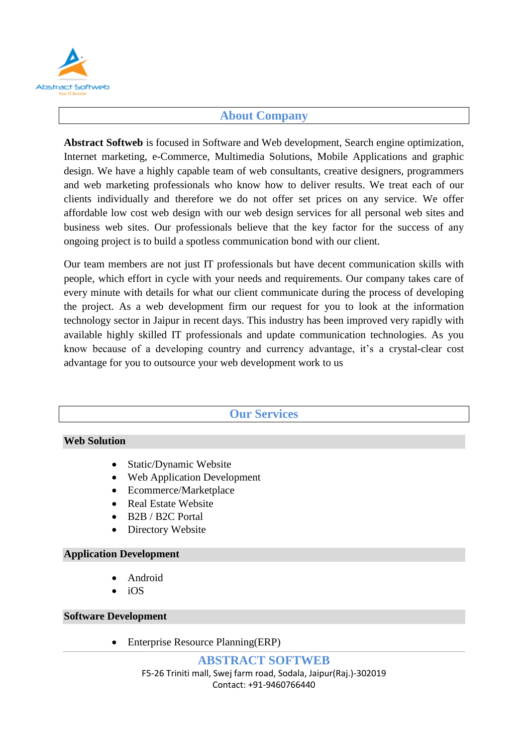

### **About Company**

**Abstract Softweb** is focused in Software and Web development, Search engine optimization, Internet marketing, e-Commerce, Multimedia Solutions, Mobile Applications and graphic design. We have a highly capable team of web consultants, creative designers, programmers and web marketing professionals who know how to deliver results. We treat each of our clients individually and therefore we do not offer set prices on any service. We offer affordable low cost web design with our web design services for all personal web sites and business web sites. Our professionals believe that the key factor for the success of any ongoing project is to build a spotless communication bond with our client.

Our team members are not just IT professionals but have decent communication skills with people, which effort in cycle with your needs and requirements. Our company takes care of every minute with details for what our client communicate during the process of developing the project. As a web development firm our request for you to look at the information technology sector in Jaipur in recent days. This industry has been improved very rapidly with available highly skilled IT professionals and update communication technologies. As you know because of a developing country and currency advantage, it's a crystal-clear cost advantage for you to outsource your web development work to us

## **Our Services**

### **Web Solution**

- Static/Dynamic Website
- Web Application Development
- Ecommerce/Marketplace
- Real Estate Website
- B2B / B2C Portal
- Directory Website

#### **Application Development**

- Android
- iOS

#### **Software Development**

Enterprise Resource Planning(ERP)

**ABSTRACT SOFTWEB** F5-26 Triniti mall, Swej farm road, Sodala, Jaipur(Raj.)-302019 Contact: +91-9460766440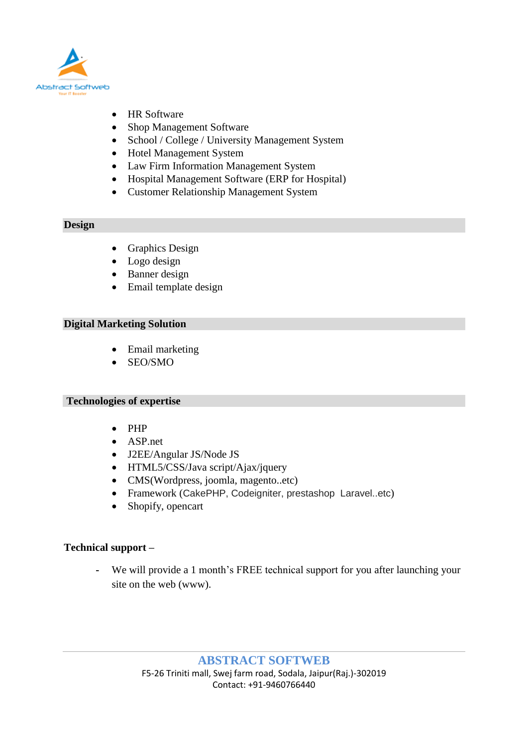

- HR Software
- Shop Management Software
- School / College / University Management System
- Hotel Management System
- Law Firm Information Management System
- Hospital Management Software (ERP for Hospital)
- Customer Relationship Management System

### **Design**

- Graphics Design
- Logo design
- Banner design
- Email template design

### **Digital Marketing Solution**

- Email marketing
- SEO/SMO

### **Technologies of expertise**

- PHP
- ASP.net
- J2EE/Angular JS/Node JS
- HTML5/CSS/Java script/Ajax/jquery
- CMS(Wordpress, joomla, magento..etc)
- Framework (CakePHP, Codeigniter, prestashop Laravel..etc)
- Shopify, opencart

### **Technical support –**

**-** We will provide a 1 month's FREE technical support for you after launching your site on the web (www).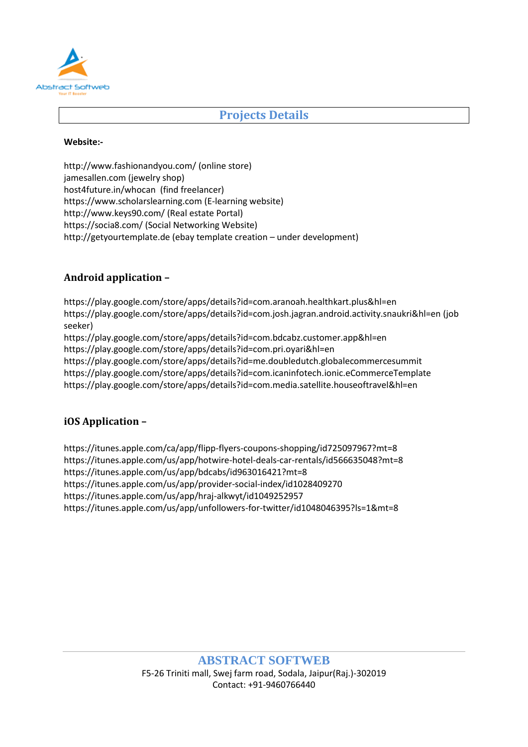

## **Projects Details**

#### **Website:-**

<http://www.fashionandyou.com/> (online store) jamesallen.com (jewelry shop) host4future.in/whocan (find freelancer) [https://www.scholarslearning.com](https://www.scholarslearning.com/) (E-learning website) <http://www.keys90.com/> (Real estate Portal) <https://socia8.com/> (Social Networking Website) [http://getyourtemplate.de](http://getyourtemplate.de/) (ebay template creation – under development)

### **Android application –**

<https://play.google.com/store/apps/details?id=com.aranoah.healthkart.plus&hl=en> <https://play.google.com/store/apps/details?id=com.josh.jagran.android.activity.snaukri&hl=en> (job seeker)

<https://play.google.com/store/apps/details?id=com.bdcabz.customer.app&hl=en> <https://play.google.com/store/apps/details?id=com.pri.oyari&hl=en> https://play.google.com/store/apps/details?id=me.doubledutch.globalecommercesummit <https://play.google.com/store/apps/details?id=com.icaninfotech.ionic.eCommerceTemplate> <https://play.google.com/store/apps/details?id=com.media.satellite.houseoftravel&hl=en>

## **iOS Application –**

https://itunes.apple.com/ca/app/flipp-flyers-coupons-shopping/id725097967?mt=8 <https://itunes.apple.com/us/app/hotwire-hotel-deals-car-rentals/id566635048?mt=8> <https://itunes.apple.com/us/app/bdcabs/id963016421?mt=8> https://itunes.apple.com/us/app/provider-social-index/id1028409270 <https://itunes.apple.com/us/app/hraj-alkwyt/id1049252957> https://itunes.apple.com/us/app/unfollowers-for-twitter/id1048046395?ls=1&mt=8